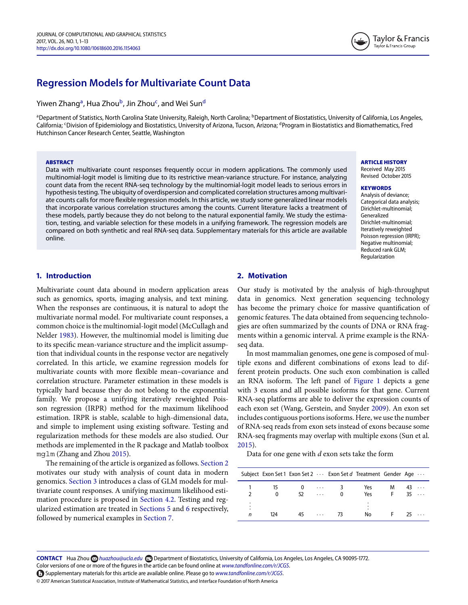# **Regression Models for Multivariate Count Data**

Yiwen Zhang<sup>a</sup>, Hua Zhou<sup>b</sup>, Jin Zhou<sup>c</sup>, a[nd](#page-0-3) Wei Sun<sup>d</sup>

<span id="page-0-2"></span><span id="page-0-0"></span><sup>a</sup>Department of Statistics, North Carolina State University, Raleigh, North Carolina; <sup>b</sup>Department of Biostatistics, University of California, Los Angeles, California; <sup>c</sup>Division of Epidemiology and Biostatistics, University of Arizona, Tucson, Arizona; <sup>d</sup>Program in Biostatistics and Biomathematics, Fred Hutchinson Cancer Research Center, Seattle, Washington

#### **ABSTRACT**

Data with multivariate count responses frequently occur in modern applications. The commonly used multinomial-logit model is limiting due to its restrictive mean-variance structure. For instance, analyzing count data from the recent RNA-seq technology by the multinomial-logit model leads to serious errors in hypothesis testing. The ubiquity of overdispersion and complicated correlation structures among multivariate counts calls for more fexible regression models. In this article, we study some generalized linear models that incorporate various correlation structures among the counts. Current literature lacks a treatment of these models, partly because they do not belong to the natural exponential family. We study the estimation, testing, and variable selection for these models in a unifying framework. The regression models are compared on both synthetic and real RNA-seq data. Supplementary materials for this article are available online.

<span id="page-0-3"></span><span id="page-0-1"></span>ARTICLE HISTORY Received May

Revised October

Taylor & Francis Taylor & Francis Group

## **KEYWORDS**

Analysis of deviance; Categorical data analysis; Dirichlet-multinomial; Generalized Dirichlet-multinomial; Iteratively reweighted Poisson regression (IRPR); Negative multinomial; Reduced rank GLM; Regularization

## **1. Introduction**

<span id="page-0-5"></span>Multivariate count data abound in modern application areas such as genomics, sports, imaging analysis, and text mining. When the responses are continuous, it is natural to adopt the multivariate normal model. For multivariate count responses, a common choice is the multinomial-logit model (McCullagh and Nelder [1983\)](#page-11-0). However, the multinomial model is limiting due to its specifc mean-variance structure and the implicit assumption that individual counts in the response vector are negatively correlated. In this article, we examine regression models for multivariate counts with more fexible mean–covariance and correlation structure. Parameter estimation in these models is typically hard because they do not belong to the exponential family. We propose a unifying iteratively reweighted Poisson regression (IRPR) method for the maximum likelihood estimation. IRPR is stable, scalable to high-dimensional data, and simple to implement using existing software. Testing and regularization methods for these models are also studied. Our methods are implemented in the R package and Matlab toolbox mglm (Zhang and Zhou [2015\)](#page-12-0).

<span id="page-0-8"></span>The remaining of the article is organized as follows. [Section 2](#page-0-4) motivates our study with analysis of count data in modern genomics. [Section 3](#page-0-4) introduces a class of GLM models for multivariate count responses. A unifying maximum likelihood estimation procedure is proposed in [Section 4.2.](#page-1-0) Testing and regularized estimation are treated in [Sections 5](#page-4-0) and [6](#page-6-0) respectively, followed by numerical examples in [Section 7.](#page-6-1)

# <span id="page-0-4"></span>**2. Motivation**

Our study is motivated by the analysis of high-throughput data in genomics. Next generation sequencing technology has become the primary choice for massive quantifcation of genomic features. The data obtained from sequencing technologies are often summarized by the counts of DNA or RNA fragments within a genomic interval. A prime example is the RNAseq data.

In most mammalian genomes, one gene is composed of multiple exons and diferent combinations of exons lead to different protein products. One such exon combination is called an RNA isoform. The left panel of [Figure 1](#page-1-1) depicts a gene with 3 exons and all possible isoforms for that gene. Current RNA-seq platforms are able to deliver the expression counts of each exon set (Wang, Gerstein, and Snyder [2009\)](#page-12-1). An exon set includes contiguous portions isoforms. Here, we use the number of RNA-seq reads from exon sets instead of exons because some RNA-seq fragments may overlap with multiple exons (Sun et al. [2015\)](#page-12-2).

<span id="page-0-7"></span><span id="page-0-6"></span>Data for one gene with *d* exon sets take the form

|                    |         |                      | Subject Exon Set 1 Exon Set 2  Exon Set d Treatment Gender Age |            |   |          |                      |
|--------------------|---------|----------------------|----------------------------------------------------------------|------------|---|----------|----------------------|
| 15<br>$\mathbf{0}$ | 0<br>52 | $\cdots$<br>$\cdots$ | 3<br>0                                                         | Yes<br>Yes | м | 43<br>35 | $\sim$ $\sim$ $\sim$ |
| 124                | 45      | $\cdots$             | -73                                                            | No         |   | 75       |                      |

CONTACT Hua Zhou *Muazhou@ucla.edu* Department of Biostatistics, University of California, Los Angeles, Los Angeles, CA 90095-1772.

Color versions of one or more of the figures in the article can be found online at *[www.tandfonline.com/r/JCGS](http://www.tandfonline.com/r/JCGS)*.

Supplementary materials for this article are available online. Please go to *[www.tandfonline.com/r/JCGS](http://www.tandfonline.com/r/JCGS)*.

© 2017 American Statistical Association, Institute of Mathematical Statistics, and Interface Foundation of North America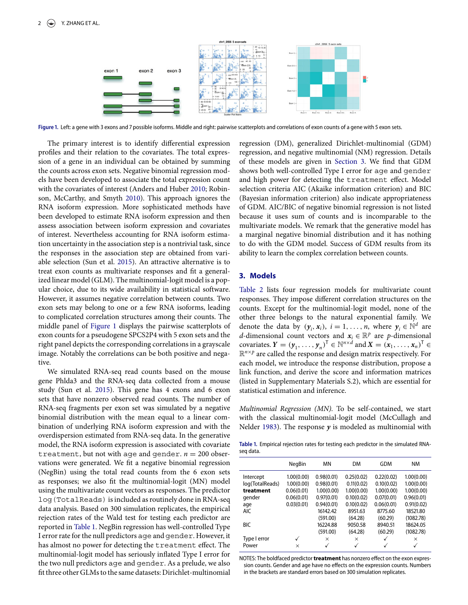<span id="page-1-1"></span>

Figure 1. Left: a gene with 3 exons and 7 possible isoforms. Middle and right: pairwise scatterplots and correlations of exon counts of a gene with 5 exon sets.

The primary interest is to identify diferential expression profles and their relation to the covariates. The total expression of a gene in an individual can be obtained by summing the counts across exon sets. Negative binomial regression models have been developed to associate the total expression count with the covariates of interest (Anders and Huber [2010;](#page-11-1) Robinson, McCarthy, and Smyth [2010\)](#page-12-3). This approach ignores the RNA isoform expression. More sophisticated methods have been developed to estimate RNA isoform expression and then assess association between isoform expression and covariates of interest. Nevertheless accounting for RNA isoform estimation uncertainty in the association step is a nontrivial task, since the responses in the association step are obtained from variable selection (Sun et al. [2015\)](#page-12-2). An attractive alternative is to treat exon counts as multivariate responses and fit a generalized linear model (GLM). The multinomial-logit model is a popular choice, due to its wide availability in statistical software. However, it assumes negative correlation between counts. Two exon sets may belong to one or a few RNA isoforms, leading to complicated correlation structures among their counts. The middle panel of [Figure 1](#page-1-1) displays the pairwise scatterplots of exon counts for a pseudogene SPCS2P4 with 5 exon sets and the right panel depicts the corresponding correlations in a grayscale image. Notably the correlations can be both positive and negative.

We simulated RNA-seq read counts based on the mouse gene Phlda3 and the RNA-seq data collected from a mouse study (Sun et al. [2015\)](#page-12-2). This gene has 4 exons and 6 exon sets that have nonzero observed read counts. The number of RNA-seq fragments per exon set was simulated by a negative binomial distribution with the mean equal to a linear combination of underlying RNA isoform expression and with the overdispersion estimated from RNA-seq data. In the generative model, the RNA isoform expression is associated with covariate treatment, but not with age and gender.  $n = 200$  observations were generated. We ft a negative binomial regression (NegBin) using the total read counts from the 6 exon sets as responses; we also ft the multinomial-logit (MN) model using the multivariate count vectors as responses. The predictor log(TotalReads) is included as routinely done in RNA-seq data analysis. Based on 300 simulation replicates, the empirical rejection rates of the Wald test for testing each predictor are reported in [Table 1.](#page-1-2) NegBin regression has well-controlled Type I error rate for the null predictors age and gender. However, it has almost no power for detecting the treatment efect. The multinomial-logit model has seriously infated Type I error for the two null predictors age and gender. As a prelude, we also ft three other GLMs to the same datasets: Dirichlet-multinomial

<span id="page-1-5"></span><span id="page-1-3"></span>regression (DM), generalized Dirichlet-multinomial (GDM) regression, and negative multinomial (NM) regression. Details of these models are given in [Section 3.](#page-0-4) We fnd that GDM shows both well-controlled Type I error for age and gender and high power for detecting the treatment efect. Model selection criteria AIC (Akaike information criterion) and BIC (Bayesian information criterion) also indicate appropriateness of GDM. AIC/BIC of negative binomial regression is not listed because it uses sum of counts and is incomparable to the multivariate models. We remark that the generative model has a marginal negative binomial distribution and it has nothing to do with the GDM model. Success of GDM results from its ability to learn the complex correlation between counts.

## <span id="page-1-6"></span><span id="page-1-0"></span>**3. Models**

[Table 2](#page-2-0) lists four regression models for multivariate count responses. They impose diferent correlation structures on the counts. Except for the multinomial-logit model, none of the other three belongs to the natural exponential family. We denote the data by  $(\mathbf{y}_i, \mathbf{x}_i)$ ,  $i = 1, \ldots, n$ , where  $\mathbf{y}_i \in \mathbb{N}^d$  are *d*-dimensional count vectors and  $x_i \in \mathbb{R}^p$  are *p*-dimensional covariates.  $Y = (y_1, \ldots, y_n)^\mathsf{T} \in \mathbb{N}^{n \times d}$  and  $X = (x_1, \ldots, x_n)^\mathsf{T} \in$  $\mathbb{R}^{n \times p}$  are called the response and design matrix respectively. For each model, we introduce the response distribution, propose a link function, and derive the score and information matrices (listed in Supplementary Materials S.2), which are essential for statistical estimation and inference.

*Multinomial Regression (MN).* To be self-contained, we start with the classical multinomial-logit model (McCullagh and Nelder [1983\)](#page-11-0). The response  $y$  is modeled as multinomial with

<span id="page-1-4"></span><span id="page-1-2"></span>**Table .** Empirical rejection rates for testing each predictor in the simulated RNAseq data.

|                 | <b>NegBin</b> | MN         | <b>DM</b>  | GDM          | <b>NM</b>    |
|-----------------|---------------|------------|------------|--------------|--------------|
| Intercept       | 1.00(0.00)    | 0.98(0.01) | 0.25(0.02) | 0.22(0.02)   | 1.00(0.00)   |
| log(TotalReads) | 1.00(0.00)    | 0.98(0.01) | 0.11(0.02) | 0.10(0.02)   | 1.00(0.00)   |
| treatment       | 0.06(0.01)    | 1.00(0.00) | 1.00(0.00) | 1.00(0.00)   | 1.00(0.00)   |
| gender          | 0.06(0.01)    | 0.97(0.01) | 0.10(0.02) | 0.07(0.01)   | 0.96(0.01)   |
| age             | 0.03(0.01)    | 0.94(0.01) | 0.10(0.02) | 0.06(0.01)   | 0.91(0.02)   |
| <b>AIC</b>      |               | 16142.42   | 8951.63    | 8775.60      | 18521.80     |
|                 |               | (591.00)   | (64.28)    | (60.29)      | (1082.78)    |
| <b>BIC</b>      |               | 16224.88   | 9050.58    | 8940.51      | 18624.05     |
|                 |               | (591.00)   | (64.28)    | (60.29)      | (1082.78)    |
| Type I error    |               | $\times$   | $\times$   | √            | $\times$     |
| Power           | $\times$      | ✓          | ✓          | $\checkmark$ | $\checkmark$ |

NOTES: The boldfaced predictor**treatment** has nonzero effect on the exon expression counts. Gender and age have no effects on the expression counts. Numbers in the brackets are standard errors based on 300 simulation replicates.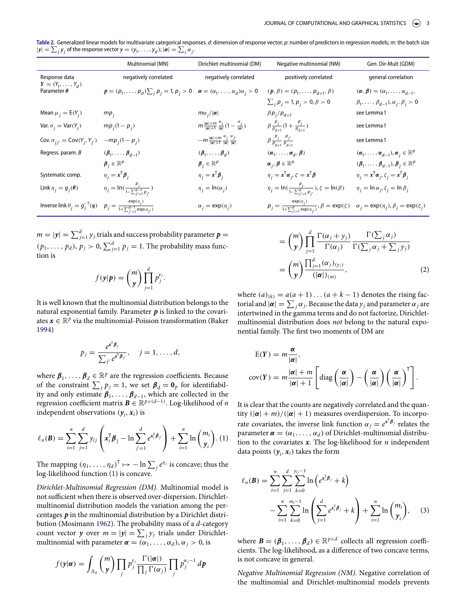<span id="page-2-0"></span>**Table .** Generalized linear models for multivariate categorical responses. *d*: dimension of response vector; *p*: number of predictors in regression models; *m*: the batch size  $|y| = \sum_j y_j$  of the response vector  $y = (y_1, \ldots, y_d)$ ;  $|\alpha| = \sum_j \alpha_j$ .

|                                               | Multinomial (MN)                                                                              | Dirichlet-multinomial (DM)                                                                  | Negative multinomial (NM)                                                           | Gen. Dir-Mult (GDM)                                                                                  |
|-----------------------------------------------|-----------------------------------------------------------------------------------------------|---------------------------------------------------------------------------------------------|-------------------------------------------------------------------------------------|------------------------------------------------------------------------------------------------------|
| Response data<br>$Y = (Y_1, , Y_d)$           | negatively correlated                                                                         | negatively correlated                                                                       | positively correlated                                                               | general correlation                                                                                  |
| Parameter $\theta$                            | $p = (p_1, , p_d) \sum_i p_i = 1, p_i > 0 \quad \alpha = (\alpha_1, , \alpha_d) \alpha_i > 0$ |                                                                                             | $(p, \beta) = (p_1, \ldots, p_{d+1}, \beta)$                                        | $(\alpha, \beta) = (\alpha_1, \ldots, \alpha_{d-1},$                                                 |
|                                               |                                                                                               |                                                                                             | $\sum_{i} p_{i} = 1, p_{i} > 0, \beta > 0$                                          | $\beta_1, \ldots, \beta_{d-1}$ ), $\alpha_j, \beta_j > 0$                                            |
| Mean $\mu_i = E(Y_i)$                         | $mp_i$                                                                                        | $m\alpha$ <sub>i</sub> /  $\alpha$                                                          | $\beta p_i/p_{d+1}$                                                                 | see Lemma 1                                                                                          |
| Var. $\sigma_i = \text{Var}(Y_i)$             | $mp_i(1-p_i)$                                                                                 | $m \frac{ \alpha +m}{ \alpha +1} \frac{\alpha_j}{ \alpha } (1 - \frac{\alpha_j}{ \alpha })$ | $\beta \frac{p_j}{p_{d+1}} (1 + \frac{p_j}{p_{d+1}})$                               | see Lemma 1                                                                                          |
| Cov. $\sigma_{ij'} = \text{Cov}(Y_i, Y_{j'})$ | $-mp_i(1-p_i)$                                                                                | $-m\frac{ \alpha +m}{ \alpha +1}\frac{\alpha_j}{ \alpha }\frac{\alpha_{j'}}{ \alpha }$      | $\beta \frac{p_j}{p_{d+1}} \frac{p_{j'}}{p_{d+1}}$                                  | see Lemma 1                                                                                          |
| Regress. param. B                             | $(\beta_1,\ldots,\beta_{d-1})$                                                                | $(\beta_1,\ldots,\beta_d)$                                                                  | $(\boldsymbol{\alpha}_1, \ldots, \boldsymbol{\alpha}_d, \boldsymbol{\beta})$        | $(\boldsymbol{\alpha}_1, \ldots, \boldsymbol{\alpha}_{d-1}), \boldsymbol{\alpha}_j \in \mathbb{R}^p$ |
|                                               | $\boldsymbol{\beta}_i \in \mathbb{R}^p$                                                       | $\boldsymbol{\beta}_i \in \mathbb{R}^p$                                                     | $\alpha_{i}, \beta \in \mathbb{R}^{p}$                                              | $(\boldsymbol{\beta}_1, \ldots, \boldsymbol{\beta}_{d-1}), \boldsymbol{\beta}_j \in \mathbb{R}^p$    |
| Systematic comp.                              | $\eta_i = x^{\mathsf{T}} \boldsymbol{\beta}_i$                                                | $\eta_i = x^{\mathsf{T}} \boldsymbol{\beta}_i$                                              | $\eta_i = x^{\mathsf{T}} \alpha_i, \zeta = x^{\mathsf{T}} \beta$                    | $\eta_i = x^{\mathsf{T}} \alpha_i, \zeta_i = x^{\mathsf{T}} \beta_i$                                 |
| Link $\eta_i = g_i(\theta)$                   | $\eta_j = \ln(\frac{p_j}{1-\sum_{i'=1}^{d-1} p_{i'}})$                                        | $\eta_i = \ln(\alpha_i)$                                                                    | $\eta_j = \ln(\frac{p_j}{1-\sum_{i'=1}^d p_{i'}}), \zeta = \ln(\beta)$              | $\eta_i = \ln \alpha_i, \zeta_i = \ln \beta_i$                                                       |
| Inverse link $\theta_i = g_i^{-1}(\eta)$      | $p_j = \frac{\exp(\eta_j)}{1 + \sum_{j'=1}^{d-1} \exp(\eta_{j'})}$                            | $\alpha_i = \exp(\eta_i)$                                                                   | $p_j = \frac{\exp(\eta_j)}{1 + \sum_{i'=1}^d \exp(\eta_{i'})}, \beta = \exp(\zeta)$ | $\alpha_j = \exp(\eta_j), \beta_j = \exp(\zeta_j)$                                                   |

 $m = |\mathbf{y}| = \sum_{j=1}^{d} y_j$  trials and success probability parameter  $\mathbf{p} =$  $(p_1, \ldots, p_d)$ ,  $p_j > 0$ ,  $\sum_{j=1}^d p_j = 1$ . The probability mass function is

$$
f(\mathbf{y}|\mathbf{p}) = {m \choose \mathbf{y}} \prod_{j=1}^d p_j^{y_j}.
$$

It is well known that the multinomial distribution belongs to the natural exponential family. Parameter *p* is linked to the covariates  $x \in \mathbb{R}^p$  via the multinomial-Poisson transformation (Baker [1994\)](#page-11-2)

<span id="page-2-3"></span>
$$
p_j = \frac{e^{\mathbf{x}^\mathsf{T} \boldsymbol{\beta}_j}}{\sum_{j'} e^{\mathbf{x}^\mathsf{T} \boldsymbol{\beta}_{j'}}}, \quad j = 1, \ldots, d,
$$

where  $\beta_1, \ldots, \beta_d \in \mathbb{R}^p$  are the regression coefficients. Because of the constraint  $\sum_j p_j = 1$ , we set  $\beta_d = 0$ <sup>*p*</sup> for identifiability and only estimate  $\beta_1, \ldots, \beta_{d-1}$ , which are collected in the regression coefficient matrix  $\mathbf{B} \in \mathbb{R}^{p \times (d-1)}$ . Log-likelihood of *n* independent observations  $(y_i, x_i)$  is

$$
\ell_n(\boldsymbol{B}) = \sum_{i=1}^n \sum_{j=1}^d y_{ij} \left( \boldsymbol{x}_i^{\mathsf{T}} \boldsymbol{\beta}_j - \ln \sum_{j'=1}^d e^{\boldsymbol{x}_i^{\mathsf{T}} \boldsymbol{\beta}_j} \right) + \sum_{i=1}^n \ln \binom{m_i}{\boldsymbol{y}_i} .
$$
 (1)

The mapping  $(\eta_1, \ldots, \eta_d)^\mathsf{T} \mapsto -\ln \sum_j e^{\eta_j}$  is concave; thus the log-likelihood function [\(1\)](#page-2-1) is concave.

*Dirichlet-Multinomial Regression (DM).* Multinomial model is not sufficient when there is observed over-dispersion. Dirichletmultinomial distribution models the variation among the percentages *p* in the multinomial distribution by a Dirichlet distribution (Mosimann [1962\)](#page-12-4). The probability mass of a *d*-category count vector *y* over  $m = |y| = \sum_j y_j$  trials under Dirichletmultinomial with parameter  $\boldsymbol{\alpha} = (\alpha_1, \ldots, \alpha_d), \alpha_j > 0$ , is

<span id="page-2-4"></span>
$$
f(\mathbf{y}|\boldsymbol{\alpha}) = \int_{\Delta_d} \binom{m}{\mathbf{y}} \prod_j p_j^{y_j} \frac{\Gamma(|\boldsymbol{\alpha}|)}{\prod_j \Gamma(\alpha_j)} \prod_j p_j^{\alpha_j - 1} d\mathbf{p}
$$

$$
= {m \choose y} \prod_{j=1}^{d} \frac{\Gamma(\alpha_j + y_j)}{\Gamma(\alpha_j)} \frac{\Gamma(\sum_j \alpha_j)}{\Gamma(\sum_j \alpha_j + \sum_j y_j)}
$$
  
= 
$$
{m \choose y} \frac{\prod_{j=1}^{d} (\alpha_j)_{(y_j)}}{(|\alpha|)_{(m)}},
$$
 (2)

where  $(a)_{(k)} = a(a+1)...(a+k-1)$  denotes the rising factorial and  $|\pmb{\alpha}| = \sum_j \alpha_j$ . Because the data  $y_j$  and parameter  $\alpha_j$  are intertwined in the gamma terms and do not factorize, Dirichletmultinomial distribution does *not* belong to the natural exponential family. The frst two moments of DM are

$$
E(Y) = m \frac{\alpha}{|\alpha|},
$$
  
cov(Y) =  $m \frac{|\alpha| + m}{|\alpha| + 1} \left[ \text{diag}\left(\frac{\alpha}{|\alpha|}\right) - \left(\frac{\alpha}{|\alpha|}\right) \left(\frac{\alpha}{|\alpha|}\right)^T \right].$ 

<span id="page-2-1"></span>It is clear that the counts are negatively correlated and the quantity  $(|\alpha| + m)/(|\alpha| + 1)$  measures overdispersion. To incorporate covariates, the inverse link function  $\alpha_j = e^{x^T \beta_j}$  relates the parameter  $\boldsymbol{\alpha} = (\alpha_1, \ldots, \alpha_d)$  of Dirichlet-multinomial distribution to the covariates *x*. The log-likelihood for *n* independent data points  $(y_i, x_i)$  takes the form

<span id="page-2-2"></span>
$$
\ell_n(\mathbf{B}) = \sum_{i=1}^n \sum_{j=1}^d \sum_{k=0}^{j_{ij}-1} \ln \left( e^{x_i^{\mathsf{T}} \beta_j} + k \right)
$$

$$
- \sum_{i=1}^n \sum_{k=0}^{m_i-1} \ln \left( \sum_{j=1}^d e^{x_i^{\mathsf{T}} \beta_j} + k \right) + \sum_{i=1}^n \ln \left( \frac{m_i}{y_i} \right), \quad (3)
$$

where  $\mathbf{B} = (\beta_1, \dots, \beta_d) \in \mathbb{R}^{p \times d}$  collects all regression coefficients. The log-likelihood, as a diference of two concave terms, is not concave in general.

*Negative Multinomial Regression (NM).* Negative correlation of the multinomial and Dirichlet-multinomial models prevents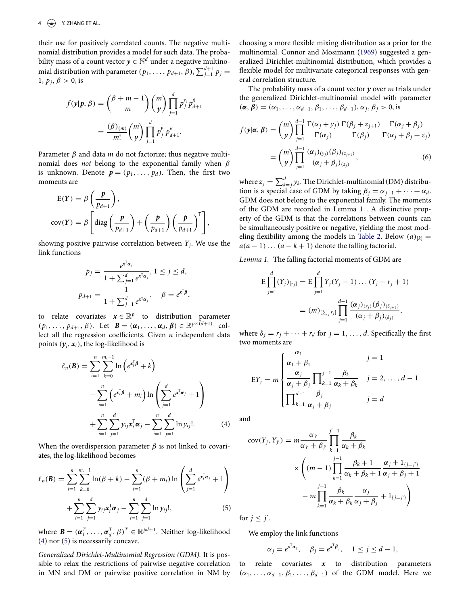their use for positively correlated counts. The negative multinomial distribution provides a model for such data. The probability mass of a count vector  $y \in \mathbb{N}^d$  under a negative multinomial distribution with parameter  $(p_1, \ldots, p_{d+1}, \beta)$ ,  $\sum_{j=1}^{d+1} p_j =$ 1,  $p_j$ ,  $\beta > 0$ , is

$$
f(\mathbf{y}|\mathbf{p}, \beta) = {\beta + m - 1 \choose m} {m \choose \mathbf{y}} \prod_{j=1}^d p_j^{y_j} p_{d+1}^{\beta}
$$
  
= 
$$
\frac{(\beta)_{(m)}}{m!} {m \choose \mathbf{y}} \prod_{j=1}^d p_j^{y_j} p_{d+1}^{\beta}.
$$

Parameter  $\beta$  and data  $m$  do not factorize; thus negative multinomial does *not* belong to the exponential family when β is unknown. Denote  $p = (p_1, \ldots, p_d)$ . Then, the first two moments are

$$
E(Y) = \beta \left( \frac{p}{p_{d+1}} \right),
$$
  
cov(Y) =  $\beta \left[ \text{diag} \left( \frac{p}{p_{d+1}} \right) + \left( \frac{p}{p_{d+1}} \right) \left( \frac{p}{p_{d+1}} \right)^T \right],$ 

showing positive pairwise correlation between *Yj*. We use the link functions

$$
p_j = \frac{e^{x^{\mathsf{T}}\alpha_j}}{1 + \sum_{j=1}^d e^{x^{\mathsf{T}}\alpha_j}}, 1 \le j \le d,
$$
  

$$
p_{d+1} = \frac{1}{1 + \sum_{j=1}^d e^{x^{\mathsf{T}}\alpha_j}}, \quad \beta = e^{x^{\mathsf{T}}\beta},
$$

to relate covariates  $x \in \mathbb{R}^p$  to distribution parameter  $(p_1, \ldots, p_{d+1}, \beta)$ . Let  $\mathbf{B} = (\alpha_1, \ldots, \alpha_d, \beta) \in \mathbb{R}^{p \times (d+1)}$  collect all the regression coefficients. Given  $n$  independent data points  $(y_i, x_i)$ , the log-likelihood is

$$
\ell_n(\mathbf{B}) = \sum_{i=1}^n \sum_{k=0}^{m_i-1} \ln \left( e^{\mathbf{x}_i^{\mathsf{T}} \boldsymbol{\beta}} + k \right)
$$
  
- 
$$
\sum_{i=1}^n \left( e^{\mathbf{x}_i^{\mathsf{T}} \boldsymbol{\beta}} + m_i \right) \ln \left( \sum_{j=1}^d e^{\mathbf{x}_j^{\mathsf{T}} \boldsymbol{\alpha}_j} + 1 \right)
$$
  
+ 
$$
\sum_{i=1}^n \sum_{j=1}^d y_{ij} \mathbf{x}_i^{\mathsf{T}} \boldsymbol{\alpha}_j - \sum_{i=1}^n \sum_{j=1}^d \ln y_{ij}!
$$
 (4)

When the overdispersion parameter  $\beta$  is not linked to covariates, the log-likelihood becomes

$$
\ell_n(\mathbf{B}) = \sum_{i=1}^n \sum_{k=0}^{m_i-1} \ln(\beta + k) - \sum_{i=1}^n (\beta + m_i) \ln \left( \sum_{j=1}^d e^{x_i^{\mathrm{T}} \alpha_j} + 1 \right) + \sum_{i=1}^n \sum_{j=1}^d y_{ij} x_i^{\mathrm{T}} \alpha_j - \sum_{i=1}^n \sum_{j=1}^d \ln y_{ij}!,
$$
\n(5)

where  $\mathbf{B} = (\boldsymbol{\alpha}_1^T, \dots, \boldsymbol{\alpha}_d^T, \beta)^T \in \mathbb{R}^{pd+1}$ . Neither log-likelihood [\(4\)](#page-3-0) nor [\(5\)](#page-3-1) is necessarily concave.

*Generalized Dirichlet-Multinomial Regression (GDM).* It is possible to relax the restrictions of pairwise negative correlation in MN and DM or pairwise positive correlation in NM by <span id="page-3-2"></span>choosing a more fexible mixing distribution as a prior for the multinomial. Connor and Mosimann [\(1969\)](#page-11-3) suggested a generalized Dirichlet-multinomial distribution, which provides a fexible model for multivariate categorical responses with general correlation structure.

The probability mass of a count vector *y* over *m* trials under the generalized Dirichlet-multinomial model with parameter  $(\alpha, \beta) = (\alpha_1, \ldots, \alpha_{d-1}, \beta_1, \ldots, \beta_{d-1}), \alpha_j, \beta_j > 0$ , is

$$
f(y|\alpha, \beta) = {m \choose y} \prod_{j=1}^{d-1} \frac{\Gamma(\alpha_j + y_j)}{\Gamma(\alpha_j)} \frac{\Gamma(\beta_j + z_{j+1})}{\Gamma(\beta_j)} \frac{\Gamma(\alpha_j + \beta_j)}{\Gamma(\alpha_j + \beta_j + z_j)}
$$

$$
= {m \choose y} \prod_{j=1}^{d-1} \frac{(\alpha_j)_{(y_j)}(\beta_j)_{(z_{j+1})}}{(\alpha_j + \beta_j)_{(z_j)}},
$$
(6)

where  $z_j = \sum_{k=j}^{d} y_k$ . The Dirichlet-multinomial (DM) distribution is a special case of GDM by taking  $\beta_j = \alpha_{j+1} + \cdots + \alpha_d$ . GDM does not belong to the exponential family. The moments of the GDM are recorded in Lemma 1 . A distinctive property of the GDM is that the correlations between counts can be simultaneously positive or negative, yielding the most mod-eling flexibility among the models in [Table 2.](#page-2-0) Below  $(a)_{[k]} =$  $a(a-1)...(a-k+1)$  denote the falling factorial.

*Lemma 1.* The falling factorial moments of GDM are

$$
E\prod_{j=1}^{d} (Y_j)_{[r_j]} = E\prod_{j=1}^{d} Y_j(Y_j - 1) \dots (Y_j - r_j + 1)
$$
  
=  $(m)_{[\sum_j r_j]} \prod_{j=1}^{d-1} \frac{(\alpha_j)_{(r_j)}(\beta_j)_{(\delta_{j+1})}}{(\alpha_j + \beta_j)_{(\delta_j)}},$ 

where  $\delta_j = r_j + \cdots + r_d$  for  $j = 1, \ldots, d$ . Specifically the first two moments are

$$
EY_j = m \begin{cases} \frac{\alpha_1}{\alpha_1 + \beta_1} & j = 1\\ \frac{\alpha_j}{\alpha_j + \beta_j} \prod_{k=1}^{j-1} \frac{\beta_k}{\alpha_k + \beta_k} & j = 2, \dots, d-1\\ \prod_{k=1}^{d-1} \frac{\beta_j}{\alpha_j + \beta_j} & j = d \end{cases}
$$

<span id="page-3-0"></span>and

$$
cov(Y_j, Y_{j'}) = m \frac{\alpha_{j'}}{\alpha_{j'} + \beta_{j'}} \prod_{k=1}^{j'-1} \frac{\beta_k}{\alpha_k + \beta_k}
$$
  
 
$$
\times \left( (m-1) \prod_{k=1}^{j-1} \frac{\beta_k + 1}{\alpha_k + \beta_k + 1} \frac{\alpha_j + 1_{\{j=j'\}}}{\alpha_j + \beta_j + 1}
$$
  
- 
$$
m \prod_{k=1}^{j-1} \frac{\beta_k}{\alpha_k + \beta_k} \frac{\alpha_j}{\alpha_j + \beta_j} + 1_{\{j=j'\}} \right)
$$

<span id="page-3-1"></span>for  $j \leq j'$ .

We employ the link functions

$$
\alpha_j = e^{x^{\mathsf{T}} \alpha_j}, \quad \beta_j = e^{x^{\mathsf{T}} \beta_j}, \quad 1 \leq j \leq d-1,
$$

to relate covariates *x* to distribution parameters  $(\alpha_1, \ldots, \alpha_{d-1}, \beta_1, \ldots, \beta_{d-1})$  of the GDM model. Here we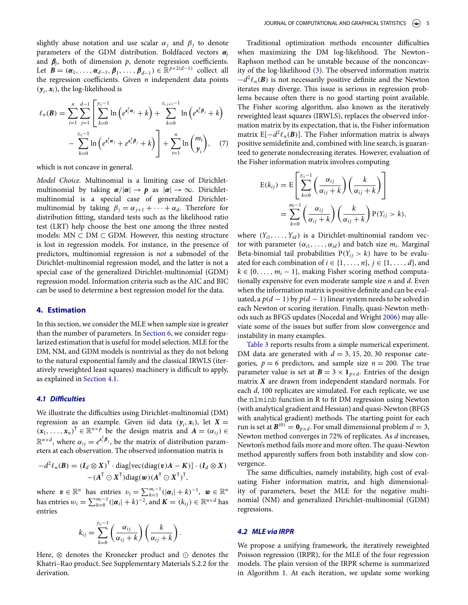slightly abuse notation and use scalar  $\alpha_i$  and  $\beta_i$  to denote parameters of the GDM distribution. Boldfaced vectors α*<sup>j</sup>* and  $\beta$ <sub>*j*</sub>, both of dimension  $p$ , denote regression coefficients. Let  $\mathbf{B} = (\boldsymbol{\alpha}_1, \ldots, \boldsymbol{\alpha}_{d-1}, \boldsymbol{\beta}_1, \ldots, \boldsymbol{\beta}_{d-1}) \in \mathbb{R}^{p \times 2(d-1)}$  collect all the regression coefficients. Given  $n$  independent data points  $(y_i, x_i)$ , the log-likelihood is

$$
\ell_n(\mathbf{B}) = \sum_{i=1}^n \sum_{j=1}^{d-1} \left[ \sum_{k=0}^{y_{ij}-1} \ln \left( e^{x_i^{\mathrm{T}} \alpha_j} + k \right) + \sum_{k=0}^{z_{i,j+1}-1} \ln \left( e^{x_i^{\mathrm{T}} \beta_j} + k \right) - \sum_{k=0}^{z_{ij}-1} \ln \left( e^{x_i^{\mathrm{T}} \alpha_j} + e^{x_i^{\mathrm{T}} \beta_j} + k \right) \right] + \sum_{i=1}^n \ln \binom{m_i}{y_i}, \quad (7)
$$

which is not concave in general.

*Model Choice.* Multinomial is a limiting case of Dirichletmultinomial by taking  $\alpha/|\alpha| \to p$  as  $|\alpha| \to \infty$ . Dirichletmultinomial is a special case of generalized Dirichletmultinomial by taking  $\beta_j = \alpha_{j+1} + \cdots + \alpha_d$ . Therefore for distribution ftting, standard tests such as the likelihood ratio test (LRT) help choose the best one among the three nested models:  $MN \subset DM \subset GDM$ . However, this nesting structure is lost in regression models. For instance, in the presence of predictors, multinomial regression is *not* a submodel of the Dirichlet-multinomial regression model, and the latter is not a special case of the generalized Dirichlet-multinomial (GDM) regression model. Information criteria such as the AIC and BIC can be used to determine a best regression model for the data.

#### <span id="page-4-0"></span>**4. Estimation**

In this section, we consider the MLE when sample size is greater than the number of parameters. In [Section 6,](#page-6-0) we consider regularized estimation that is useful for model selection. MLE for the DM, NM, and GDM models is nontrivial as they do not belong to the natural exponential family and the classical IRWLS (iteratively reweighted least squares) machinery is difficult to apply, as explained in [Section 4.1.](#page-4-1)

#### **4***.***1** *Di***f***culties*

<span id="page-4-1"></span>We illustrate the difficulties using Dirichlet-multinomial (DM) regression as an example. Given iid data  $(y_i, x_i)$ , let  $X =$  $(x_1, \ldots, x_n)^\mathsf{T} \in \mathbb{R}^{n \times p}$  be the design matrix and  $A = (\alpha_{ij}) \in$  $\mathbb{R}^{n \times d}$ , where  $\alpha_{ij} = e^{\mathbf{x}_i^{\mathsf{T}} \boldsymbol{\beta}_j}$ , be the matrix of distribution parameters at each observation. The observed information matrix is

$$
-d^2 \ell_n(\mathbf{B}) = (I_d \otimes X)^{\mathsf{T}} \cdot \text{diag}[\text{vec}(\text{diag}(\mathbf{v})A - K)] \cdot (I_d \otimes X) - (A^{\mathsf{T}} \odot X^{\mathsf{T}}) \text{diag}(\mathbf{w}) (A^{\mathsf{T}} \odot X^{\mathsf{T}})^{\mathsf{T}},
$$

where  $\mathbf{v} \in \mathbb{R}^n$  has entries  $v_i = \sum_{k=1}^{m_i-1} (|\boldsymbol{\alpha}_i| + k)^{-1}$ ,  $\mathbf{w} \in \mathbb{R}^n$ has entries  $w_i = \sum_{k=0}^{m_i-1} (|\boldsymbol{\alpha}_i| + k)^{-2}$ , and  $\boldsymbol{K} = (k_{ij}) \in \mathbb{R}^{n \times d}$  has entries

$$
k_{ij} = \sum_{k=0}^{y_{ij}-1} \left(\frac{\alpha_{ij}}{\alpha_{ij}+k}\right) \left(\frac{k}{\alpha_{ij}+k}\right).
$$

Here, ⊗ denotes the Kronecker product and ⊙ denotes the Khatri–Rao product. See Supplementary Materials S.2.2 for the derivation.

Traditional optimization methods encounter difficulties when maximizing the DM log-likelihood. The Newton– Raphson method can be unstable because of the nonconcavity of the log-likelihood [\(3\)](#page-2-2). The observed information matrix  $-d^2\ell_n(\mathbf{B})$  is not necessarily positive definite and the Newton iterates may diverge. This issue is serious in regression problems because often there is no good starting point available. The Fisher scoring algorithm, also known as the iteratively reweighted least squares (IRWLS), replaces the observed information matrix by its expectation, that is, the Fisher information matrix  $E[-d^2 \ell_n(\mathbf{B})]$ . The Fisher information matrix is always positive semidefnite and, combined with line search, is guaranteed to generate nondecreasing iterates. However, evaluation of the Fisher information matrix involves computing

$$
E(k_{ij}) = E\left[\sum_{k=0}^{y_{ij}-1} \left(\frac{\alpha_{ij}}{\alpha_{ij}+k}\right) \left(\frac{k}{\alpha_{ij}+k}\right)\right]
$$
  
= 
$$
\sum_{k=0}^{m_i-1} \left(\frac{\alpha_{ij}}{\alpha_{ij}+k}\right) \left(\frac{k}{\alpha_{ij}+k}\right) P(Y_{ij} > k),
$$

where  $(Y_{i1}, \ldots, Y_{id})$  is a Dirichlet-multinomial random vector with parameter  $(\alpha_{i1}, \ldots, \alpha_{id})$  and batch size  $m_i$ . Marginal Beta-binomial tail probabilities  $P(Y_{ij} > k)$  have to be evaluated for each combination of  $i \in \{1, \ldots, n\}$ ,  $j \in \{1, \ldots, d\}$ , and  $k \in \{0, \ldots, m_i - 1\}$ , making Fisher scoring method computationally expensive for even moderate sample size *n* and *d*. Even when the information matrix is positive defnite and can be evaluated, a  $p(d-1)$  by  $p(d-1)$  linear system needs to be solved in each Newton or scoring iteration. Finally, quasi-Newton methods such as BFGS updates (Nocedal and Wright [2006\)](#page-12-5) may alleviate some of the issues but sufer from slow convergence and instability in many examples.

<span id="page-4-2"></span>[Table 3](#page-5-0) reports results from a simple numerical experiment. DM data are generated with  $d = 3, 15, 20, 30$  response categories,  $p = 6$  predictors, and sample size  $n = 200$ . The true parameter value is set at  $\mathbf{B} = 3 \times \mathbf{1}_{p \times d}$ . Entries of the design matrix *X* are drawn from independent standard normals. For each *d*, 100 replicates are simulated. For each replicate, we use the nlminb function in R to ft DM regression using Newton (with analytical gradient and Hessian) and quasi-Newton (BFGS with analytical gradient) methods. The starting point for each run is set at  $B^{(0)} = \mathbf{0}_{p \times d}$ . For small dimensional problem  $d = 3$ , Newton method converges in 72% of replicates. As *d* increases, Newton's method fails more and more often. The quasi-Newton method apparently sufers from both instability and slow convergence.

The same difficulties, namely instability, high cost of evaluating Fisher information matrix, and high dimensionality of parameters, beset the MLE for the negative multinomial (NM) and generalized Dirichlet-multinomial (GDM) regressions.

#### **4***.***2** *MLE via IRPR*

We propose a unifying framework, the iteratively reweighted Poisson regression (IRPR), for the MLE of the four regression models. The plain version of the IRPR scheme is summarized in Algorithm 1. At each iteration, we update some working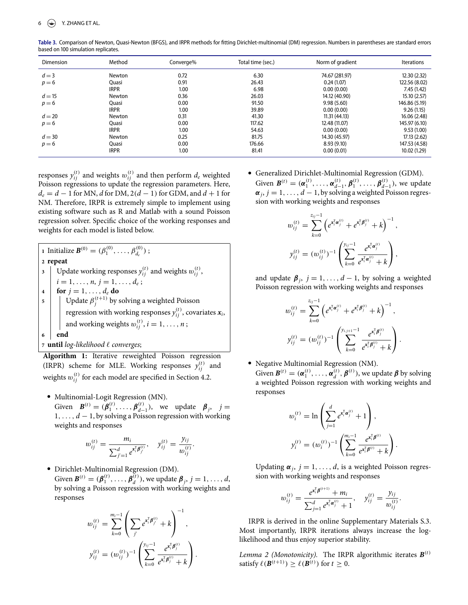<span id="page-5-0"></span>**Table .** Comparison of Newton, Quasi-Newton (BFGS), and IRPR methods for fitting Dirichlet-multinomial (DM) regression. Numbers in parentheses are standard errors based on 100 simulation replicates.

| <b>Dimension</b> | Method       | Converge% | Total time (sec.) | Norm of gradient | <b>Iterations</b> |
|------------------|--------------|-----------|-------------------|------------------|-------------------|
| $d = 3$          | Newton       | 0.72      | 6.30              | 74.67 (281.97)   | 12.30(2.32)       |
| $p = 6$          | Ouasi        | 0.91      | 26.43             | 0.24(1.07)       | 122.56 (8.02)     |
|                  | <b>IRPR</b>  | 1.00      | 6.98              | 0.00(0.00)       | 7.45(1.42)        |
| $d = 15$         | Newton       | 0.36      | 26.03             | 14.12 (40.90)    | 15.10 (2.57)      |
| $p = 6$          | <b>Ouasi</b> | 0.00      | 91.50             | 9.98(5.60)       | 146.86 (5.19)     |
|                  | <b>IRPR</b>  | 1.00      | 39.89             | 0.00(0.00)       | 9.26(1.15)        |
| $d = 20$         | Newton       | 0.31      | 41.30             | 11.31(44.13)     | 16.06 (2.48)      |
| $p = 6$          | Ouasi        | 0.00      | 117.62            | 12.48 (11.07)    | 145.97 (6.10)     |
|                  | <b>IRPR</b>  | 1.00      | 54.63             | 0.00(0.00)       | 9.53(1.00)        |
| $d = 30$         | Newton       | 0.25      | 81.75             | 14.30 (45.97)    | 17.13 (2.62)      |
| $p = 6$          | <b>Ouasi</b> | 0.00      | 176.66            | 8.93(9.10)       | 147.53 (4.58)     |
|                  | <b>IRPR</b>  | 1.00      | 81.41             | 0.00(0.01)       | 10.02 (1.29)      |

responses  $y_{ij}^{(t)}$  and weights  $w_{ij}^{(t)}$  and then perform  $d_e$  weighted Poisson regressions to update the regression parameters. Here, *de* = *d* − 1 for MN, *d* for DM, 2*(d* − 1*)* for GDM, and *d* + 1 for NM. Therefore, IRPR is extremely simple to implement using existing software such as R and Matlab with a sound Poisson regression solver. Specifc choice of the working responses and weights for each model is listed below.

**1** Initialize  $\mathbf{B}^{(0)} = (\beta_1^{(0)}, \dots, \beta_{d_e}^{(0)})$ ; **2 repeat 3**  $\left| \right.$  Update working responses  $y_{ij}^{(t)}$  and weights  $w_{ij}^{(t)}$ ,  $i = 1, \ldots, n, j = 1, \ldots, d_e;$ **4 for**  $j = 1, ..., d_e$  **do**<br>**5 b** Update  $\beta^{(t+1)}$  by s  $\mathsf{5}$  Update  $\beta_j^{(t+1)}$  by solving a weighted Poisson regression with working responses  $y_{ij}^{(t)}$ , covariates  $x_i$ , and working weights  $w_{ij}^{(t)}$ ,  $i = 1, \ldots, n$ ; **6 end <sup>7</sup> until** *log-likelihood* ℓ *converges*;

**Algorithm 1:** Iterative reweighted Poisson regression (IRPR) scheme for MLE. Working responses  $y_{ij}^{(t)}$  and weights  $w_{ij}^{(t)}$  for each model are specified in Section 4.2.

• Multinomial-Logit Regression (MN).

Given  $B^{(t)} = (\beta_1^{(t)}, \dots, \beta_{d-1}^{(t)})$ , we update  $\beta_j$ ,  $j =$ 1*,..., d* − 1, by solving a Poisson regression with working weights and responses

$$
w_{ij}^{(t)} = \frac{m_i}{\sum_{j'=1}^d e^{\mathbf{x}_i^{\mathrm{T}} \boldsymbol{\beta}_{j'}^{(t)}}}, \quad y_{ij}^{(t)} = \frac{y_{ij}}{w_{ij}^{(t)}}.
$$

• Dirichlet-Multinomial Regression (DM). Given  $\mathbf{B}^{(t)} = (\beta_1^{(t)}, \dots, \beta_d^{(t)})$ , we update  $\beta_j$ ,  $j = 1, \dots, d$ , by solving a Poisson regression with working weights and responses

$$
w_{ij}^{(t)} = \sum_{k=0}^{m_i-1} \left( \sum_{j'} e^{x_i^{\mathrm{T}} \beta_{j'}^{(t)}} + k \right)^{-1},
$$
  

$$
y_{ij}^{(t)} = (w_{ij}^{(t)})^{-1} \left( \sum_{k=0}^{y_{ij}-1} \frac{e^{x_i^{\mathrm{T}} \beta_{j'}^{(t)}}}{e^{x_i^{\mathrm{T}} \beta_{j'}^{(t)}} + k} \right).
$$

! Generalized Dirichlet-Multinomial Regression (GDM). Given  $\mathbf{B}^{(t)} = (\alpha_1^{(t)}, \dots, \alpha_{d-1}^{(t)}, \beta_1^{(t)}, \dots, \beta_{d-1}^{(t)}),$  we update  $\alpha_j$ ,  $j = 1, \ldots, d - 1$ , by solving a weighted Poisson regression with working weights and responses

$$
w_{ij}^{(t)} = \sum_{k=0}^{z_{ij}-1} \left( e^{x_i^{\mathrm{T}} \alpha_j^{(t)}} + e^{x_i^{\mathrm{T}} \beta_j^{(t)}} + k \right)^{-1},
$$
  

$$
y_{ij}^{(t)} = (w_{ij}^{(t)})^{-1} \left( \sum_{k=0}^{y_{ij}-1} \frac{e^{x_i^{\mathrm{T}} \alpha_j^{(t)}}}{e^{x_i^{\mathrm{T}} \alpha_j^{(t)}} + k} \right),
$$

and update  $\beta_j$ ,  $j = 1, ..., d - 1$ , by solving a weighted Poisson regression with working weights and responses

$$
w_{ij}^{(t)} = \sum_{k=0}^{z_{ij}-1} \left( e^{x_i^{\mathrm{T}} \alpha_j^{(t)}} + e^{x_i^{\mathrm{T}} \beta_j^{(t)}} + k \right)^{-1},
$$
  

$$
y_{ij}^{(t)} = (w_{ij}^{(t)})^{-1} \left( \sum_{k=0}^{y_{i,j+1}-1} \frac{e^{x_i^{\mathrm{T}} \beta_j^{(t)}}}{e^{x_i^{\mathrm{T}} \beta_j^{(t)}} + k} \right).
$$

• Negative Multinomial Regression (NM). Given  $\mathbf{B}^{(t)} = (\boldsymbol{\alpha}_1^{(t)}, \dots, \boldsymbol{\alpha}_d^{(t)}, \boldsymbol{\beta}^{(t)})$ , we update  $\boldsymbol{\beta}$  by solving a weighted Poisson regression with working weights and responses

$$
w_i^{(t)} = \ln \left( \sum_{j=1}^d e^{x_i^{\mathrm{T}} \alpha_j^{(t)}} + 1 \right),
$$
  

$$
y_i^{(t)} = (w_i^{(t)})^{-1} \left( \sum_{k=0}^{m_i - 1} \frac{e^{x_i^{\mathrm{T}} \beta^{(t)}}}{e^{x_i^{\mathrm{T}} \beta^{(t)}} + k} \right).
$$

Updating  $\alpha_i$ ,  $j = 1, \ldots, d$ , is a weighted Poisson regression with working weights and responses

$$
w_{ij}^{(t)} = \frac{e^{\mathbf{x}_i^{\mathrm{T}}\boldsymbol{\beta}^{(t+1)}} + m_i}{\sum_{j=1}^d e^{\mathbf{x}_i^{\mathrm{T}}\boldsymbol{\alpha}_j^{(t)}} + 1}, \quad y_{ij}^{(t)} = \frac{y_{ij}}{w_{ij}^{(t)}}.
$$

IRPR is derived in the online Supplementary Materials S.3. Most importantly, IRPR iterations always increase the loglikelihood and thus enjoy superior stability.

*Lemma 2 (Monotonicity).* The IRPR algorithmic iterates  $\mathbf{B}^{(t)}$ satisfy  $\ell(\mathbf{B}^{(t+1)}) \geq \ell(\mathbf{B}^{(t)})$  for  $t \geq 0$ .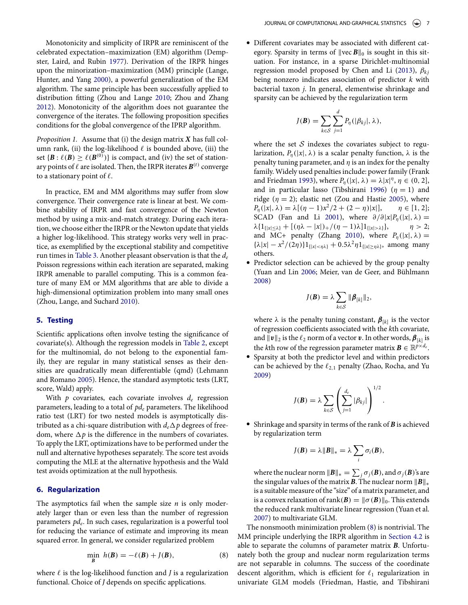Monotonicity and simplicity of IRPR are reminiscent of the celebrated expectation–maximization (EM) algorithm (Dempster, Laird, and Rubin [1977\)](#page-11-4). Derivation of the IRPR hinges upon the minorization–maximization (MM) principle (Lange, Hunter, and Yang [2000\)](#page-11-5), a powerful generalization of the EM algorithm. The same principle has been successfully applied to distribution ftting (Zhou and Lange [2010;](#page-12-6) Zhou and Zhang [2012\)](#page-12-7). Monotonicity of the algorithm does not guarantee the convergence of the iterates. The following proposition specifes conditions for the global convergence of the IPRP algorithm.

*Proposition 1.* Assume that (i) the design matrix *X* has full column rank, (ii) the log-likelihood  $\ell$  is bounded above, (iii) the set  $\{B : \ell(B) \geq \ell(B^{(0)})\}$  is compact, and (iv) the set of stationary points of  $\ell$  are isolated. Then, the IRPR iterates  $\mathbf{B}^{(t)}$  converge to a stationary point of  $\ell$ .

In practice, EM and MM algorithms may sufer from slow convergence. Their convergence rate is linear at best. We combine stability of IRPR and fast convergence of the Newton method by using a mix-and-match strategy. During each iteration, we choose either the IRPR or the Newton update that yields a higher log-likelihood. This strategy works very well in practice, as exemplifed by the exceptional stability and competitive run times in [Table 3.](#page-5-0) Another pleasant observation is that the *de* Poisson regressions within each iteration are separated, making IRPR amenable to parallel computing. This is a common feature of many EM or MM algorithms that are able to divide a high-dimensional optimization problem into many small ones (Zhou, Lange, and Suchard [2010\)](#page-12-8).

## <span id="page-6-6"></span><span id="page-6-5"></span><span id="page-6-0"></span>**5. Testing**

Scientifc applications often involve testing the signifcance of covariate(s). Although the regression models in [Table 2,](#page-2-0) except for the multinomial, do not belong to the exponential family, they are regular in many statistical senses as their densities are quadratically mean diferentiable (qmd) (Lehmann and Romano [2005\)](#page-11-6). Hence, the standard asymptotic tests (LRT, score, Wald) apply.

<span id="page-6-4"></span>With *p* covariates, each covariate involves *de* regression parameters, leading to a total of *pde* parameters. The likelihood ratio test (LRT) for two nested models is asymptotically distributed as a chi-square distribution with  $d_e\Delta p$  degrees of freedom, where  $\Delta p$  is the difference in the numbers of covariates. To apply the LRT, optimizations have to be performed under the null and alternative hypotheses separately. The score test avoids computing the MLE at the alternative hypothesis and the Wald test avoids optimization at the null hypothesis.

## **6. Regularization**

<span id="page-6-1"></span>The asymptotics fail when the sample size *n* is only moderately larger than or even less than the number of regression parameters *pd<sub>e</sub>*. In such cases, regularization is a powerful tool for reducing the variance of estimate and improving its mean squared error. In general, we consider regularized problem

$$
\min_{\mathbf{B}} h(\mathbf{B}) = -\ell(\mathbf{B}) + J(\mathbf{B}),\tag{8}
$$

where  $\ell$  is the log-likelihood function and  $J$  is a regularization functional. Choice of *J* depends on specifc applications.

! Diferent covariates may be associated with diferent category. Sparsity in terms of  $\|$ vec  $B\|_0$  is sought in this situation. For instance, in a sparse Dirichlet-multinomial regression model proposed by Chen and Li [\(2013\)](#page-11-7), β*kj* being nonzero indicates association of predictor *k* with bacterial taxon *j*. In general, elementwise shrinkage and sparsity can be achieved by the regularization term

$$
J(\boldsymbol{B}) = \sum_{k \in \mathcal{S}} \sum_{j=1}^d P_{\eta}(|\beta_{kj}|, \lambda),
$$

where the set  $S$  indexes the covariates subject to regularization,  $P_n(|x|, \lambda)$  is a scalar penalty function,  $\lambda$  is the penalty tuning parameter, and  $\eta$  is an index for the penalty family. Widely used penalties include: power family (Frank and Friedman [1993\)](#page-11-8), where  $P_{\eta}(x|\lambda) = \lambda |x|^{\eta}, \eta \in (0, 2],$ and in particular lasso (Tibshirani [1996\)](#page-12-9) ( $\eta = 1$ ) and ridge ( $\eta = 2$ ); elastic net (Zou and Hastie [2005\)](#page-12-10), where  $P_n(|x|, \lambda) = \lambda [(n-1)x^2/2 + (2-n)|x|], \quad n \in [1, 2];$  $P_n(|x|, \lambda) = \lambda[(\eta - 1)x^2/2 + (2 - \eta)|x|],$ SCAD (Fan and Li [2001\)](#page-11-9), where  $\partial/\partial |x|P_{\eta}(|x|, \lambda) = \lambda \{1_{\{|x| > \lambda\}} + [(\eta \lambda - |x|)_+ / (\eta - 1)\lambda] 1_{\{|x| > \lambda\}}\}, \quad \eta > 2;$  $\lambda \{1_{\{|x| \leq \lambda\}} + [(\eta \lambda - |x|)_+ / (\eta - 1)\lambda] 1_{\{|x| > \lambda\}}\},$ and MC+ penalty (Zhang [2010\)](#page-12-11), where  $P_n(|x|, \lambda) =$  ${\lambda |x| - x^2/(2\eta)}1_{\{|x| < \eta\lambda\}} + 0.5\lambda^2\eta1_{\{|x| \ge \eta\lambda\}}$ , among many others.

! Predictor selection can be achieved by the group penalty (Yuan and Lin [2006;](#page-12-12) Meier, van de Geer, and Bühlmann [2008\)](#page-11-10)

$$
J(\boldsymbol{B}) = \lambda \sum_{k \in \mathcal{S}} \|\boldsymbol{\beta}_{[k]}\|_2,
$$

where  $\lambda$  is the penalty tuning constant,  $\beta_{[k]}$  is the vector of regression coefficients associated with the *k*th covariate, and  $||v||_2$  is the  $\ell_2$  norm of a vector **v**. In other words,  $\boldsymbol{\beta}_{[k]}$  is the *k*th row of the regression parameter matrix  $\mathbf{B} \in \mathbb{R}^{p \times d_e}$ .

● Sparsity at both the predictor level and within predictors can be achieved by the ℓ2*,*<sup>1</sup> penalty (Zhao, Rocha, and Yu [2009\)](#page-12-13)

$$
J(\boldsymbol{B}) = \lambda \sum_{k \in S} \left( \sum_{j=1}^{d_e} |\beta_{kj}| \right)^{1/2}
$$

*.*

! Shrinkage and sparsity in terms of the rank of *B* is achieved by regularization term

$$
J(\boldsymbol{B}) = \lambda \|\boldsymbol{B}\|_{*} = \lambda \sum_{i} \sigma_{i}(\boldsymbol{B}),
$$

where the nuclear norm  $||B||_* = \sum_j \sigma_j(B)$ , and  $\sigma_j(B)$ 's are the singular values of the matrix *B*. The nuclear norm ∥*B*∥∗ is a suitable measure of the "size" of a matrix parameter, and is a convex relaxation of rank $(B) = ||\sigma(B)||_0$ . This extends the reduced rank multivariate linear regression (Yuan et al. [2007\)](#page-12-14) to multivariate GLM.

<span id="page-6-3"></span><span id="page-6-2"></span>The nonsmooth minimization problem [\(8\)](#page-6-2) is nontrivial. The MM principle underlying the IRPR algorithm in [Section 4.2](#page-1-0) is able to separate the columns of parameter matrix *B*. Unfortunately both the group and nuclear norm regularization terms are not separable in columns. The success of the coordinate descent algorithm, which is efficient for  $\ell_1$  regularization in univariate GLM models (Friedman, Hastie, and Tibshirani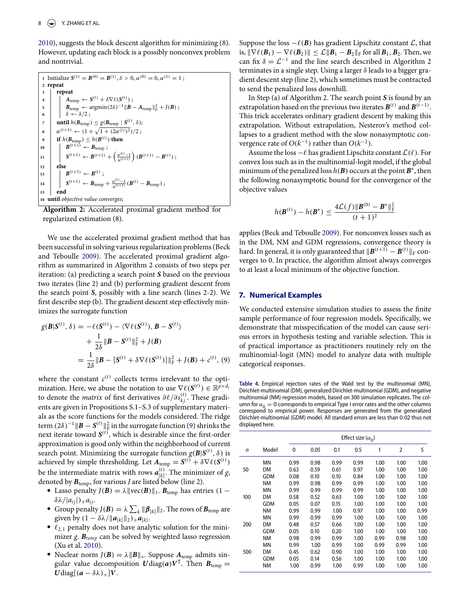[2010\)](#page-11-11), suggests the block descent algorithm for minimizing [\(8\)](#page-6-2). However, updating each block is a possibly nonconvex problem and nontrivial.



**Algorithm 2:** Accelerated proximal gradient method for regularized estimation (8).

<span id="page-7-2"></span>We use the accelerated proximal gradient method that has been successful in solving various regularization problems (Beck and Teboulle [2009\)](#page-11-12). The accelerated proximal gradient algorithm as summarized in Algorithm 2 consists of two steps per iteration: (a) predicting a search point *S* based on the previous two iterates (line 2) and (b) performing gradient descent from the search point *S*, possibly with a line search (lines 2-2). We frst describe step (b). The gradient descent step efectively minimizes the surrogate function

$$
g(\mathbf{B}|\mathbf{S}^{(t)},\delta) = -\ell(\mathbf{S}^{(t)}) - \langle \nabla \ell(\mathbf{S}^{(t)}), \mathbf{B} - \mathbf{S}^{(t)} \rangle
$$
  
+ 
$$
\frac{1}{2\delta} ||\mathbf{B} - \mathbf{S}^{(t)}||_{\mathrm{F}}^2 + J(\mathbf{B})
$$
  
= 
$$
\frac{1}{2\delta} ||\mathbf{B} - [\mathbf{S}^{(t)} + \delta \nabla \ell(\mathbf{S}^{(t)})]||_{\mathrm{F}}^2 + J(\mathbf{B}) + c^{(t)}, \quad (9)
$$

where the constant  $c^{(t)}$  collects terms irrelevant to the optimization. Here, we abuse the notation to use  $\nabla \ell(\mathbf{S}^{(t)}) \in \mathbb{R}^{p \times d_e}$ to denote the *matrix* of first derivatives  $\partial \ell / \partial s_{kj}^{(t)}$ . These gradients are given in Propositions S.1–S.3 of supplementary materials as the score functions for the models considered. The ridge term  $(2\delta)^{-1}$   $\|\boldsymbol{B} - \boldsymbol{S}^{(t)}\|_{\text{F}}^2$  in the surrogate function [\(9\)](#page-7-0) shrinks the next iterate toward  $S^{(t)}$ , which is desirable since the first-order approximation is good only within the neighborhood of current search point. Minimizing the surrogate function  $g(B|S^{(t)}, \delta)$  is achieved by simple thresholding. Let  $A_{temp} = S^{(t)} + \delta \nabla \ell(S^{(t)})$ be the intermediate matrix with rows  $a_{[k]}^{(t)}$ . The minimizer of *g*,

- denoted by  $\mathbf{B}_{temp}$ , for various *J* are listed below (line 2).<br>
Lasso penalty *J*( $\mathbf{B}$ ) = λ∥vec( $\mathbf{B}$ )∥<sub>1</sub>.  $\mathbf{B}_{temp}$  has entries (1 −  $\delta \lambda / |a_{ij}|$ )<sub>+</sub> $a_{ij}$ .
	- *δ*λ/|*a<sub>ij</sub>*|)<sub>+</sub>*a<sub>ij</sub>*. *Group penalty <i>J*(*B*) =  $λ$   $∑_k$  || $β_{[k]}$  ||<sub>2</sub>. The rows of *B*<sub>temp</sub> are given by  $(1 - \delta \lambda / ||a_{[k]}||_2) + a_{[k]}$ .<br>●  $\ell_{2,1}$  penalty does not have analytic solution for the mini-
	- mizer *g*. *Btemp* can be solved by weighted lasso regression
	- (Xu et al. [2010\)](#page-12-15).<br>● Nuclear norm *J(B)* = λ $||B||_*$ . Suppose  $A_{temp}$  admits singular value decomposition  $U \text{diag}(a) V^{\top}$ . Then  $B_{temp} =$ *U*diag $[(a - \delta \lambda)_+]V$ .

Suppose the loss  $-\ell(\mathbf{B})$  has gradient Lipschitz constant  $\mathcal{L}$ , that is,  $\|\nabla \ell(\mathbf{B}_1) - \nabla \ell(\mathbf{B}_2)\|$  ≤  $\mathcal{L}$  ||**B**<sub>1</sub> − **B**<sub>2</sub>||<sub>F</sub> for all **B**<sub>1</sub>, **B**<sub>2</sub>. Then, we can fix  $\delta = \mathcal{L}^{-1}$  and the line search described in Algorithm 2 terminates in a single step. Using a larger  $\delta$  leads to a bigger gradient descent step (line 2), which sometimes must be contracted to send the penalized loss downhill.

In Step (a) of Algorithm 2. The search point *S* is found by an extrapolation based on the previous two iterates  $\boldsymbol{B}^{(t)}$  and  $\boldsymbol{B}^{(t-1)}$ . This trick accelerates ordinary gradient descent by making this extrapolation. Without extrapolation, Nesterov's method collapses to a gradient method with the slow nonasymptotic convergence rate of  $O(k^{-1})$  rather than  $O(k^{-2})$ .

Assume the loss −ℓ has gradient Lipschitz constant*L(*ℓ*)*. For convex loss such as in the multinomial-logit model, if the global minimum of the penalized loss  $h(B)$  occurs at the point  $B^*$ , then the following nonasymptotic bound for the convergence of the objective values

$$
h(\mathbf{B}^{(t)}) - h(\mathbf{B}^*) \le \frac{4\mathcal{L}(f) \|\mathbf{B}^{(0)} - \mathbf{B}^*\|_{\mathrm{F}}^2}{(t+1)^2}
$$

applies (Beck and Teboulle [2009\)](#page-11-12). For nonconvex losses such as in the DM, NM and GDM regressions, convergence theory is hard. In general, it is only guaranteed that  $||\boldsymbol{B}^{(t+1)} - \boldsymbol{B}^{(t)}||_F$  converges to 0. In practice, the algorithm almost always converges to at least a local minimum of the objective function.

## **7. Numerical Examples**

W[e](#page-7-1) conducted extensive simulation studies to assess the fnite sample performance of four regression models. Specifcally, we demonstrate that misspecifcation of the model can cause serious errors in hypothesis testing and variable selection. This is of practical importance as practitioners routinely rely on the multinomial-logit (MN) model to analyze data with multiple categorical responses.

<span id="page-7-1"></span><span id="page-7-0"></span>**Table .** Empirical rejection rates of the Wald test by the multinomial (MN), Dirichlet-multinomial (DM), generalized Dirichlet-multinomial (GDM), and negative multinomial (NM) regression models, based on 300 simulation replicates. The column for  $\alpha_0 = 0$  corresponds to empirical Type I error rates and the other columns correspond to empirical power. Responses are generated from the generalized Dirichlet-multinomial (GDM) model. All standard errors are less than 0*.*02 thus not displayed here.

<span id="page-7-3"></span>

|              |            |      | Effect size $(\alpha_0)$ |      |      |      |                |      |
|--------------|------------|------|--------------------------|------|------|------|----------------|------|
| $\mathsf{n}$ | Model      | 0    | 0.05                     | 0.1  | 0.5  | 1    | $\overline{2}$ | 5    |
|              | ΜN         | 0.99 | 0.98                     | 0.99 | 0.99 | 1.00 | 1.00           | 1.00 |
| 50           | DM         | 0.63 | 0.59                     | 0.61 | 0.97 | 1.00 | 1.00           | 1.00 |
|              | <b>GDM</b> | 0.08 | 0.10                     | 0.10 | 0.84 | 1.00 | 1.00           | 1.00 |
|              | <b>NM</b>  | 0.99 | 0.98                     | 0.99 | 0.99 | 1.00 | 1.00           | 1.00 |
|              | ΜN         | 0.99 | 0.99                     | 0.99 | 0.99 | 1.00 | 1.00           | 1.00 |
| 100          | DM         | 0.58 | 0.52                     | 0.63 | 1.00 | 1.00 | 1.00           | 1.00 |
|              | <b>GDM</b> | 0.05 | 0.07                     | 0.15 | 1.00 | 1.00 | 1.00           | 1.00 |
|              | <b>NM</b>  | 0.99 | 0.99                     | 1.00 | 0.97 | 1.00 | 1.00           | 0.99 |
|              | ΜN         | 0.99 | 0.99                     | 0.99 | 1.00 | 1.00 | 1.00           | 1.00 |
| 200          | DM         | 0.48 | 0.57                     | 0.66 | 1.00 | 1.00 | 1.00           | 1.00 |
|              | <b>GDM</b> | 0.05 | 0.10                     | 0.20 | 1.00 | 1.00 | 1.00           | 1.00 |
|              | <b>NM</b>  | 0.98 | 0.99                     | 0.99 | 1.00 | 0.99 | 0.98           | 1.00 |
|              | ΜN         | 0.99 | 1.00                     | 0.99 | 1.00 | 0.99 | 0.99           | 1.00 |
| 500          | DM         | 0.45 | 0.62                     | 0.90 | 1.00 | 1.00 | 1.00           | 1.00 |
|              | <b>GDM</b> | 0.05 | 0.14                     | 0.56 | 1.00 | 1.00 | 1.00           | 1.00 |
|              | <b>NM</b>  | 1.00 | 0.99                     | 1.00 | 0.99 | 1.00 | 1.00           | 1.00 |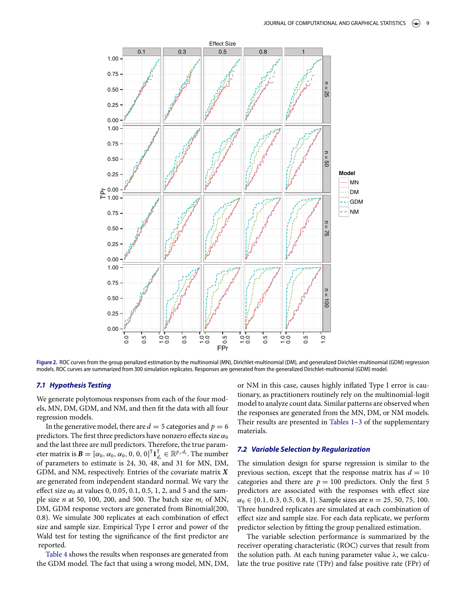<span id="page-8-0"></span>

**Figure .** ROC curves from the group penalized estimation by the multinomial (MN), Dirichlet-multinomial (DM), and generalized Dirichlet-multinomial (GDM) regression models. ROC curves are summarized from 300 simulation replicates. Responses are generated from the generalized Dirichlet-multinomial (GDM) model.

## **7***.***1** *Hypothesis Testing*

We generate polytomous responses from each of the four models, MN, DM, GDM, and NM, and then ft the data with all four regression models.

In the generative model, there are  $d = 5$  categories and  $p = 6$ predictors. The first three predictors have nonzero effects size  $\alpha_0$ and the last three are null predictors. Therefore, the true parameter matrix is  $\mathbf{B} = [\alpha_0, \alpha_0, \alpha_0, 0, 0, 0]^\mathsf{T} \mathbf{1}_{d_e}^\mathsf{T} \in \mathbb{R}^{p \times d_e}$ . The number of parameters to estimate is 24, 30, 48, and 31 for MN, DM, GDM, and NM, respectively. Entries of the covariate matrix *X* are generated from independent standard normal. We vary the effect size  $\alpha_0$  at values 0, 0.05, 0.1, 0.5, 1, 2, and 5 and the sample size *n* at 50, 100, 200, and 500. The batch size *mi* of MN, DM, GDM response vectors are generated from Binomial(200, 0.8). We simulate 300 replicates at each combination of efect size and sample size. Empirical Type I error and power of the Wald test for testing the signifcance of the frst predictor are reported.

[Table 4](#page-7-1) shows the results when responses are generated from the GDM model. The fact that using a wrong model, MN, DM,

or NM in this case, causes highly infated Type I error is cautionary, as practitioners routinely rely on the multinomial-logit model to analyze count data. Similar patterns are observed when the responses are generated from the MN, DM, or NM models. Their results are presented in [Tables 1–](#page-1-2)[3](#page-5-0) of the supplementary materials.

## **7***.***2** *Variable Selection by Regularization*

The simulation design for sparse regression is similar to the previous section, except that the response matrix has  $d = 10$ categories and there are  $p = 100$  predictors. Only the first 5 predictors are associated with the responses with efect size  $\alpha_0 \in \{0.1, 0.3, 0.5, 0.8, 1\}$ . Sample sizes are  $n = 25, 50, 75, 100$ . Three hundred replicates are simulated at each combination of efect size and sample size. For each data replicate, we perform predictor selection by ftting the group penalized estimation.

The variable selection performance is summarized by the receiver operating characteristic (ROC) curves that result from the solution path. At each tuning parameter value  $\lambda$ , we calculate the true positive rate (TPr) and false positive rate (FPr) of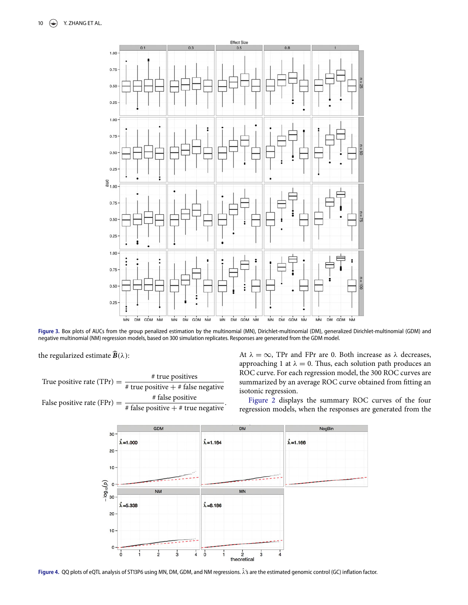<span id="page-9-0"></span>

**Figure .** Box plots of AUCs from the group penalized estimation by the multinomial (MN), Dirichlet-multinomial (DM), generalized Dirichlet-multinomial (GDM) and negative multinomial (NM) regression models, based on 300 simulation replicates. Responses are generated from the GDM model.

the regularized estimate  $\widehat{B}(\lambda)$ :

<span id="page-9-1"></span>True positive rate (TPr) =  $\frac{\# \text{ true positives}}{4}$  $\frac{1}{\#}$  true positive  $\#$  false negative  $\#$  false positive False positive rate  $(FPr) =$ # false positive <sup>+</sup> # true negative *.* At  $\lambda = \infty$ , TPr and FPr are 0. Both increase as  $\lambda$  decreases, approaching 1 at  $\lambda = 0$ . Thus, each solution path produces an ROC curve. For each regression model, the 300 ROC curves are summarized by an average ROC curve obtained from ftting an isotoni[c](#page-10-0) regression.

[Figure 2](#page-8-0) displays the summary ROC curves of the four regression models, when the responses are generated from the



Figure 4. QQ plots of eQTL analysis of ST13P6 using MN, DM, GDM, and NM regressions.  $\hat{\lambda}$ 's are the estimated genomic control (GC) inflation factor.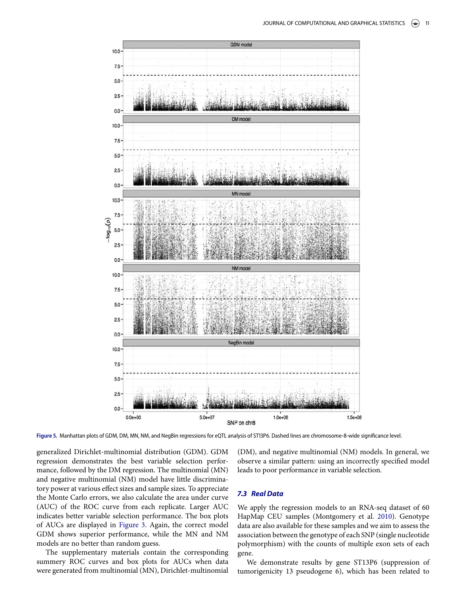<span id="page-10-0"></span>

Figure 5. Manhattan plots of GDM, DM, MN, NM, and NegBin regressions for eQTL analysis of ST13P6. Dashed lines are chromosome-8-wide significance level.

generalized Dirichlet-multinomial distribution (GDM). GDM regression demonstrates the best variable selection performance, followed by the DM regression. The multinomial (MN) and negative multinomial (NM) model have little discriminatory power at various efect sizes and sample sizes. To appreciate the Monte Carlo errors, we also calculate the area under curve (AUC) of the ROC curve from each replicate. Larger AUC indicates better variable selection performance. The box plots of AUCs are displayed in [Figure 3.](#page-9-0) Again, the correct model GDM shows superior performance, while the MN and NM models are no better than random guess.

The supplementary materials contain the corresponding summery ROC curves and box plots for AUCs when data were generated from multinomial (MN), Dirichlet-multinomial

(DM), and negative multinomial (NM) models. In general, we observe a similar pattern: using an incorrectly specifed model leads to poor performance in variable selection.

## **7***.***3** *Real Data*

<span id="page-10-1"></span>We apply the regression models to an RNA-seq dataset of 60 HapMap CEU samples (Montgomery et al. [2010\)](#page-12-16). Genotype data are also available for these samples and we aim to assess the association between the genotype of each SNP (single nucleotide polymorphism) with the counts of multiple exon sets of each gene.

We demonstrate results by gene ST13P6 (suppression of tumorigenicity 13 pseudogene 6), which has been related to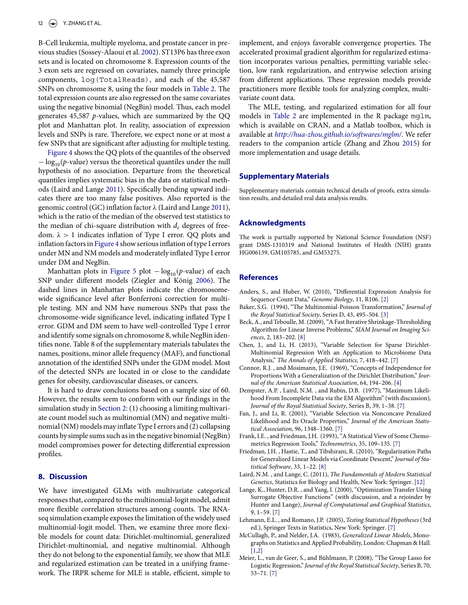B-Cell leukemia, multiple myeloma, and prostate cancer in previous studies (Sossey-Alaoui et al. [2002\)](#page-12-17). ST13P6 has three exon sets and is located on chromosome 8. Expression counts of the 3 exon sets are regressed on covariates, namely three principle components, log(TotalReads), and each of the 45,587 SNPs on chromosome 8, using the four models in [Table 2.](#page-2-0) The total expression counts are also regressed on the same covariates using the negative binomial (NegBin) model. Thus, each model generates 45,587 *p*-values, which are summarized by the QQ plot and Manhattan plot. In reality, association of expression levels and SNPs is rare. Therefore, we expect none or at most a few SNPs that are signifcant after adjusting for multiple testing.

<span id="page-11-14"></span>[Figure 4](#page-9-1) shows the QQ plots of the quantiles of the observed − log<sub>10</sub>(*p*-value) versus the theoretical quantiles under the null hypothesis of no association. Departure from the theoretical quantiles implies systematic bias in the data or statistical methods (Laird and Lange [2011\)](#page-11-13). Specifcally bending upward indicates there are too many false positives. Also reported is the genomic control (GC) infation factor λ (Laird and Lange [2011\)](#page-11-13), which is the ratio of the median of the observed test statistics to the median of chi-square distribution with *de* degrees of freedom. λ *>* 1 indicates infation of Type I error. QQ plots and infation factors in [Figure 4](#page-9-1) show serious infation of type I errors under MN and NM models and moderately infated Type I error under DM and NegBin.

Manhattan plots in [Figure 5](#page-10-0) plot − log<sub>10</sub>(*p*-value) of each SNP under diferent models (Ziegler and König [2006\)](#page-12-18). The dashed lines in Manhattan plots indicate the chromosomewide signifcance level after Bonferroni correction for multiple testing. MN and NM have numerous SNPs that pass the chromosome-wide signifcance level, indicating infated Type I error. GDM and DM seem to have well-controlled Type I error and identify some signals on chromosome 8, while NegBin identifes none. Table 8 of the supplementary materials tabulates the names, positions, minor allele frequency (MAF), and functional annotation of the identifed SNPs under the GDM model. Most of the detected SNPs are located in or close to the candidate genes for obesity, cardiovascular diseases, or cancers.

It is hard to draw conclusions based on a sample size of 60. However, the results seem to conform with our fndings in the simulation study in [Section 2:](#page-0-4) (1) choosing a limiting multivariate count model such as multinomial (MN) and negative multinomial (NM) models may infate Type I errors and (2) collapsing counts by simple sums such as in the negative binomial (NegBin) model compromises power for detecting diferential expression profles.

## **8. Discussion**

We have investigated GLMs with multivariate categorical responses that, compared to the multinomial-logit model, admit more fexible correlation structures among counts. The RNAseq simulation example exposes the limitation of the widely used multinomial-logit model. Then, we examine three more fexible models for count data: Dirichlet-multinomial, generalized Dirichlet-multinomial, and negative multinomial. Although they do not belong to the exponential family, we show that MLE and regularized estimation can be treated in a unifying framework. The IRPR scheme for MLE is stable, efficient, simple to

implement, and enjoys favorable convergence properties. The accelerated proximal gradient algorithm for regularized estimation incorporates various penalties, permitting variable selection, low rank regularization, and entrywise selection arising from diferent applications. These regression models provide practitioners more fexible tools for analyzing complex, multivariate count data.

The MLE, testing, and regularized estimation for all four models in [Table 2](#page-2-0) are implemented in the R package mglm, which is available on CRAN, and a Matlab toolbox, which is available at *<http://hua-zhou.github.io/softwares/mglm/>*. We refer readers to the companion article (Zhang and Zhou [2015\)](#page-12-0) for more implementation and usage details.

## <span id="page-11-15"></span>**Supplementary Materials**

Supplementary materials contain technical details of proofs, extra simulation results, and detailed real data analysis results.

## **Acknowledgments**

The work is partially supported by National Science Foundation (NSF) grant DMS-1310319 and National Institutes of Health (NIH) grants HG006139, GM105785, and GM53275.

#### **References**

- <span id="page-11-16"></span><span id="page-11-1"></span>Anders, S., and Huber, W. (2010), "Diferential Expression Analysis for Sequence Count Data," *Genome Biology*, 11, R106. [\[2\]](#page-1-3)
- <span id="page-11-2"></span>Baker, S.G. (1994), "The Multinomial-Poisson Transformation," *Journal of the Royal Statistical Society*, Series D, 43, 495–504. [\[3\]](#page-2-3)
- <span id="page-11-12"></span>Beck, A., and Teboulle, M. (2009), "A Fast Iterative Shrinkage-Thresholding Algorithm for Linear Inverse Problems," *SIAM Journal on Imaging Sciences*, 2, 183–202. [\[8\]](#page-7-2)
- <span id="page-11-7"></span>Chen, J., and Li, H. (2013), "Variable Selection for Sparse Dirichlet-Multinomial Regression With an Application to Microbiome Data Analysis," *The Annals of Applied Statistics*, 7, 418–442. [\[7\]](#page-6-3)
- <span id="page-11-3"></span>Connor, R.J. , and Mosimann, J.E. (1969), "Concepts of Independence for Proportions With a Generalization of the Dirichlet Distribution," *Journal of the American Statistical Association*, 64, 194–206. [\[4\]](#page-3-2)
- <span id="page-11-4"></span>Dempster, A.P. , Laird, N.M. , and Rubin, D.B. (1977), "Maximum Likelihood From Incomplete Data via the EM Algorithm" (with discussion), *Journal of the Royal Statistical Society*, Series B, 39, 1–38. [7]
- <span id="page-11-9"></span>Fan, J., and Li, R. (2001), "Variable Selection via Nonconcave Penalized Likelihood and Its Oracle Properties," *Journal of the American Statistical Association*, 96, 1348–1360. [\[7\]](#page-6-3)
- <span id="page-11-8"></span>Frank, I.E. , and Friedman, J.H. (1993), "A Statistical View of Some Chemometrics Regression Tools," *Technometrics*, 35, 109–135. [\[7\]](#page-6-3)
- <span id="page-11-11"></span>Friedman, J.H. , Hastie, T., and Tibshirani, R. (2010), "Regularization Paths for Generalized Linear Models via Coordinate Descent," *Journal of Statistical Software*, 33, 1–22. [8]
- <span id="page-11-13"></span>Laird, N.M. , and Lange, C. (2011), *The Fundamentals of Modern Statistical Genetics*, Statistics for Biology and Health, New York: Springer. [\[12\]](#page-11-14)
- <span id="page-11-5"></span>Lange, K., Hunter, D.R. , and Yang, I. (2000), "Optimization Transfer Using Surrogate Objective Functions" (with discussion, and a rejoinder by Hunter and Lange), *Journal of Computational and Graphical Statistics*, 9, 1–59. [7]
- <span id="page-11-6"></span>Lehmann, E.L. , and Romano, J.P. (2005), *Testing Statistical Hypotheses* (3rd ed.), Springer Texts in Statistics, New York: Springer. [\[7\]](#page-6-4)
- <span id="page-11-0"></span>McCullagh, P., and Nelder, J.A. (1983), *Generalized Linear Models*, Monographs on Statistics and Applied Probability, London: Chapman & Hall. [\[1](#page-0-5)[,2\]](#page-1-4)
- <span id="page-11-10"></span>Meier, L., van de Geer, S., and Bühlmann, P. (2008), "The Group Lasso for Logistic Regression," *Journal of the Royal Statistical Society*, Series B, 70, 53–71. [\[7\]](#page-6-5)